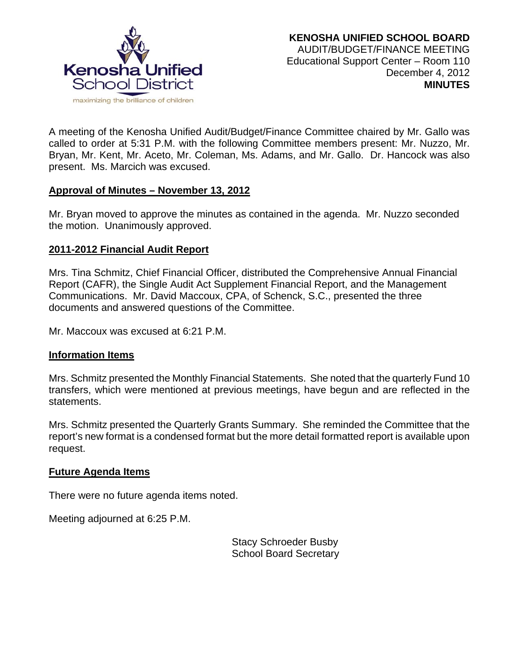

A meeting of the Kenosha Unified Audit/Budget/Finance Committee chaired by Mr. Gallo was called to order at 5:31 P.M. with the following Committee members present: Mr. Nuzzo, Mr. Bryan, Mr. Kent, Mr. Aceto, Mr. Coleman, Ms. Adams, and Mr. Gallo. Dr. Hancock was also present. Ms. Marcich was excused.

### **Approval of Minutes – November 13, 2012**

Mr. Bryan moved to approve the minutes as contained in the agenda. Mr. Nuzzo seconded the motion. Unanimously approved.

## **2011-2012 Financial Audit Report**

Mrs. Tina Schmitz, Chief Financial Officer, distributed the Comprehensive Annual Financial Report (CAFR), the Single Audit Act Supplement Financial Report, and the Management Communications. Mr. David Maccoux, CPA, of Schenck, S.C., presented the three documents and answered questions of the Committee.

Mr. Maccoux was excused at 6:21 P.M.

### **Information Items**

Mrs. Schmitz presented the Monthly Financial Statements. She noted that the quarterly Fund 10 transfers, which were mentioned at previous meetings, have begun and are reflected in the statements.

Mrs. Schmitz presented the Quarterly Grants Summary. She reminded the Committee that the report's new format is a condensed format but the more detail formatted report is available upon request.

### **Future Agenda Items**

There were no future agenda items noted.

Meeting adjourned at 6:25 P.M.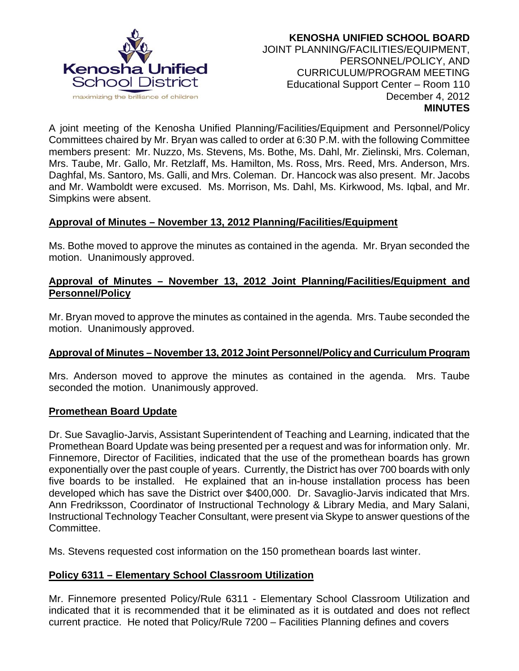

A joint meeting of the Kenosha Unified Planning/Facilities/Equipment and Personnel/Policy Committees chaired by Mr. Bryan was called to order at 6:30 P.M. with the following Committee members present: Mr. Nuzzo, Ms. Stevens, Ms. Bothe, Ms. Dahl, Mr. Zielinski, Mrs. Coleman, Mrs. Taube, Mr. Gallo, Mr. Retzlaff, Ms. Hamilton, Ms. Ross, Mrs. Reed, Mrs. Anderson, Mrs. Daghfal, Ms. Santoro, Ms. Galli, and Mrs. Coleman. Dr. Hancock was also present. Mr. Jacobs and Mr. Wamboldt were excused. Ms. Morrison, Ms. Dahl, Ms. Kirkwood, Ms. Iqbal, and Mr. Simpkins were absent.

## **Approval of Minutes – November 13, 2012 Planning/Facilities/Equipment**

Ms. Bothe moved to approve the minutes as contained in the agenda. Mr. Bryan seconded the motion. Unanimously approved.

## **Approval of Minutes – November 13, 2012 Joint Planning/Facilities/Equipment and Personnel/Policy**

Mr. Bryan moved to approve the minutes as contained in the agenda. Mrs. Taube seconded the motion. Unanimously approved.

# **Approval of Minutes – November 13, 2012 Joint Personnel/Policy and Curriculum Program**

Mrs. Anderson moved to approve the minutes as contained in the agenda. Mrs. Taube seconded the motion. Unanimously approved.

### **Promethean Board Update**

Dr. Sue Savaglio-Jarvis, Assistant Superintendent of Teaching and Learning, indicated that the Promethean Board Update was being presented per a request and was for information only. Mr. Finnemore, Director of Facilities, indicated that the use of the promethean boards has grown exponentially over the past couple of years. Currently, the District has over 700 boards with only five boards to be installed. He explained that an in-house installation process has been developed which has save the District over \$400,000. Dr. Savaglio-Jarvis indicated that Mrs. Ann Fredriksson, Coordinator of Instructional Technology & Library Media, and Mary Salani, Instructional Technology Teacher Consultant, were present via Skype to answer questions of the Committee.

Ms. Stevens requested cost information on the 150 promethean boards last winter.

# **Policy 6311 – Elementary School Classroom Utilization**

Mr. Finnemore presented Policy/Rule 6311 - Elementary School Classroom Utilization and indicated that it is recommended that it be eliminated as it is outdated and does not reflect current practice. He noted that Policy/Rule 7200 – Facilities Planning defines and covers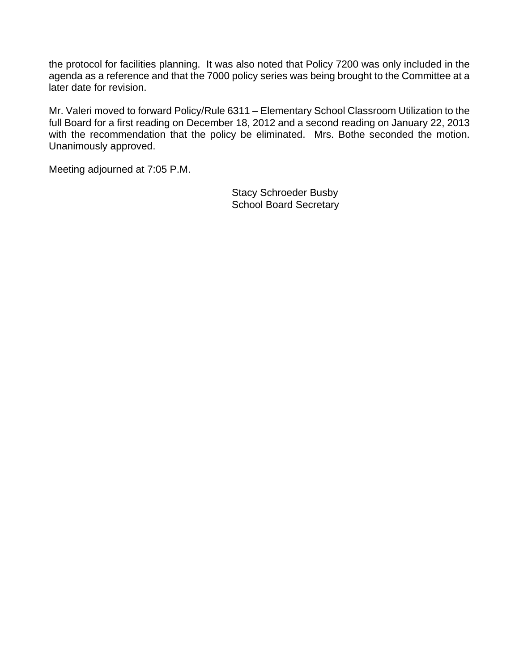the protocol for facilities planning. It was also noted that Policy 7200 was only included in the agenda as a reference and that the 7000 policy series was being brought to the Committee at a later date for revision.

Mr. Valeri moved to forward Policy/Rule 6311 – Elementary School Classroom Utilization to the full Board for a first reading on December 18, 2012 and a second reading on January 22, 2013 with the recommendation that the policy be eliminated. Mrs. Bothe seconded the motion. Unanimously approved.

Meeting adjourned at 7:05 P.M.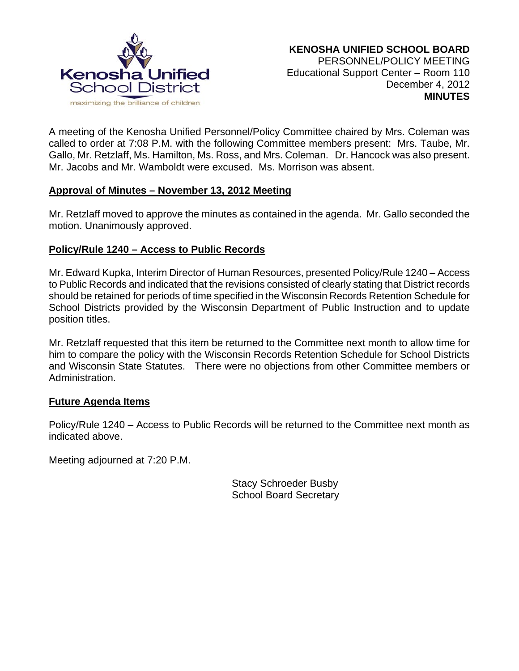

A meeting of the Kenosha Unified Personnel/Policy Committee chaired by Mrs. Coleman was called to order at 7:08 P.M. with the following Committee members present: Mrs. Taube, Mr. Gallo, Mr. Retzlaff, Ms. Hamilton, Ms. Ross, and Mrs. Coleman. Dr. Hancock was also present. Mr. Jacobs and Mr. Wamboldt were excused. Ms. Morrison was absent.

### **Approval of Minutes – November 13, 2012 Meeting**

Mr. Retzlaff moved to approve the minutes as contained in the agenda. Mr. Gallo seconded the motion. Unanimously approved.

## **Policy/Rule 1240 – Access to Public Records**

Mr. Edward Kupka, Interim Director of Human Resources, presented Policy/Rule 1240 – Access to Public Records and indicated that the revisions consisted of clearly stating that District records should be retained for periods of time specified in the Wisconsin Records Retention Schedule for School Districts provided by the Wisconsin Department of Public Instruction and to update position titles.

Mr. Retzlaff requested that this item be returned to the Committee next month to allow time for him to compare the policy with the Wisconsin Records Retention Schedule for School Districts and Wisconsin State Statutes. There were no objections from other Committee members or Administration.

### **Future Agenda Items**

Policy/Rule 1240 – Access to Public Records will be returned to the Committee next month as indicated above.

Meeting adjourned at 7:20 P.M.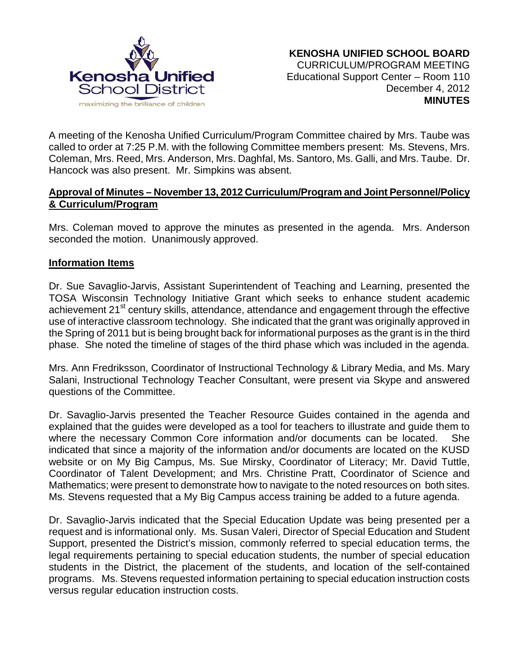

A meeting of the Kenosha Unified Curriculum/Program Committee chaired by Mrs. Taube was called to order at 7:25 P.M. with the following Committee members present: Ms. Stevens, Mrs. Coleman, Mrs. Reed, Mrs. Anderson, Mrs. Daghfal, Ms. Santoro, Ms. Galli, and Mrs. Taube. Dr. Hancock was also present. Mr. Simpkins was absent.

## **Approval of Minutes – November 13, 2012 Curriculum/Program and Joint Personnel/Policy & Curriculum/Program**

Mrs. Coleman moved to approve the minutes as presented in the agenda. Mrs. Anderson seconded the motion. Unanimously approved.

#### **Information Items**

Dr. Sue Savaglio-Jarvis, Assistant Superintendent of Teaching and Learning, presented the TOSA Wisconsin Technology Initiative Grant which seeks to enhance student academic achievement 21<sup>st</sup> century skills, attendance, attendance and engagement through the effective use of interactive classroom technology. She indicated that the grant was originally approved in the Spring of 2011 but is being brought back for informational purposes as the grant is in the third phase. She noted the timeline of stages of the third phase which was included in the agenda.

Mrs. Ann Fredriksson, Coordinator of Instructional Technology & Library Media, and Ms. Mary Salani, Instructional Technology Teacher Consultant, were present via Skype and answered questions of the Committee.

Dr. Savaglio-Jarvis presented the Teacher Resource Guides contained in the agenda and explained that the guides were developed as a tool for teachers to illustrate and guide them to where the necessary Common Core information and/or documents can be located. She indicated that since a majority of the information and/or documents are located on the KUSD website or on My Big Campus, Ms. Sue Mirsky, Coordinator of Literacy; Mr. David Tuttle, Coordinator of Talent Development; and Mrs. Christine Pratt, Coordinator of Science and Mathematics; were present to demonstrate how to navigate to the noted resources on both sites. Ms. Stevens requested that a My Big Campus access training be added to a future agenda.

Dr. Savaglio-Jarvis indicated that the Special Education Update was being presented per a request and is informational only. Ms. Susan Valeri, Director of Special Education and Student Support, presented the District's mission, commonly referred to special education terms, the legal requirements pertaining to special education students, the number of special education students in the District, the placement of the students, and location of the self-contained programs. Ms. Stevens requested information pertaining to special education instruction costs versus regular education instruction costs.